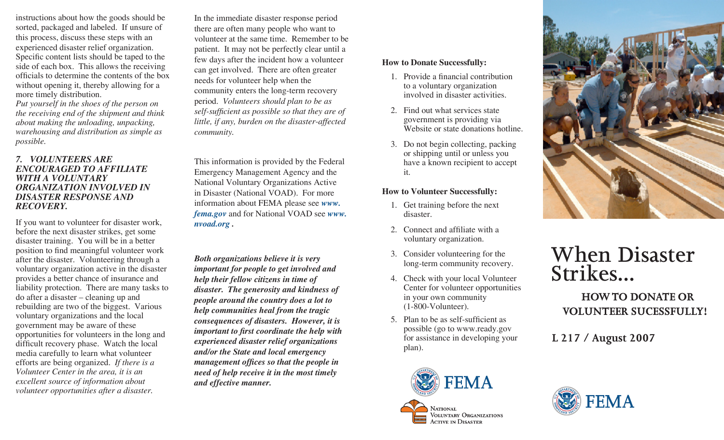instructions about how the goods should be sorted, packaged and labeled. If unsure of this process, discuss these steps with an experienced disaster relief organization. Specific content lists should be taped to the side of each box. This allows the receiving officials to determine the contents of the box without opening it, thereby allowing for a more timely distribution.

*Put yourself in the shoes of the person on the receiving end of the shipment and think about making the unloading, unpacking, warehousing and distribution as simple as possible.*

#### *7. VOLUNTEERS ARE ENCOURAGED TO AFFILIATE WITH A VOLUNTARY ORGANIZATION INVOLVED IN DISASTER RESPONSE AND RECOVERY.*

If you want to volunteer for disaster work, before the next disaster strikes, get some disaster training. You will be in a better position to find meaningful volunteer work after the disaster. Volunteering through a voluntary organization active in the disaster provides a better chance of insurance and liability protection. There are many tasks to do after a disaster – cleaning up and rebuilding are two of the biggest. Various voluntary organizations and the local government may be aware of these opportunities for volunteers in the long and difficult recovery phase. Watch the local media carefully to learn what volunteer efforts are being organized. *If there is a Volunteer Center in the area, it is an excellent source of information about volunteer opportunities after a disaster.* 

In the immediate disaster response period there are often many people who want to volunteer at the same time. Remember to be patient. It may not be perfectly clear until a few days after the incident how a volunteer can get involved. There are often greater needs for volunteer help when the community enters the long-term recovery period. *Volunteers should plan to be as self-sufficient as possible so that they are of little, if any, burden on the disaster-affected community.*

This information is provided by the Federal Emergency Management Agency and the National Voluntary Organizations Active in Disaster (National VOAD). For more information about FEMA please see *www. fema.gov* and for National VOAD see *www. nvoad.org .*

*Both organizations believe it is very important for people to get involved and help their fellow citizens in time of disaster. The generosity and kindness of people around the country does a lot to help communities heal from the tragic consequences of disasters. However, it is important to first coordinate the help with experienced disaster relief organizations and/or the State and local emergency management offices so that the people in need of help receive it in the most timely and effective manner.*

#### **How to Donate Successfully:**

- 1. Provide a financial contribution to a voluntary organization involved in disaster activities.
- 2. Find out what services state government is providing via Website or state donations hotline.
- 3. Do not begin collecting, packing or shipping until or unless you have a known recipient to accept it.

## **How to Volunteer Successfully:**

- 1. Get training before the next disaster.
- 2. Connect and affiliate with a voluntary organization.
- 3. Consider volunteering for the long-term community recovery.
- 4. Check with your local Volunteer Center for volunteer opportunities in your own community (1-800-Volunteer).
- 5. Plan to be as self-sufficient as possible (go to www.ready.gov for assistance in developing your plan).





# **When Disaster Strikes...**

 **HOW TO DONATE OR VOLUNTEER SUCESSFULLY!**

**L 217 / August 2007**